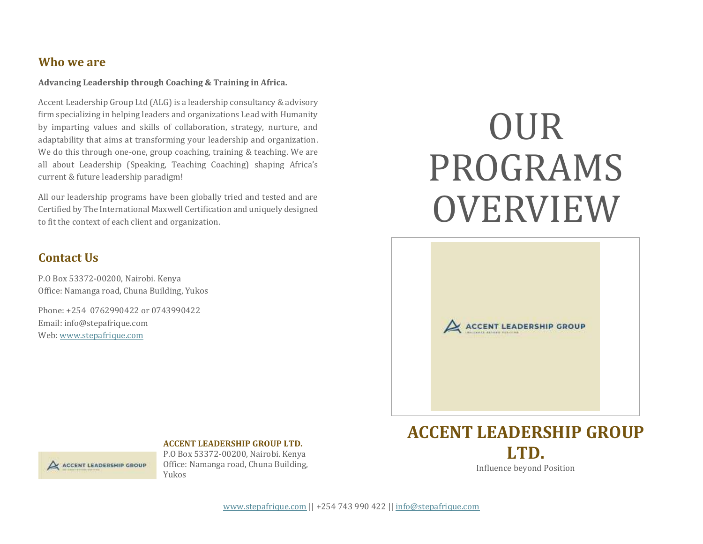#### **Who we are**

**Advancing Leadership through Coaching & Training in Africa.**

Accent Leadership Group Ltd (ALG) is a leadership consultancy & advisory firm specializing in helping leaders and organizations Lead with Humanity by imparting values and skills of collaboration, strategy, nurture, and adaptability that aims at transforming your leadership and organization. We do this through one-one, group coaching, training & teaching. We are all about Leadership (Speaking, Teaching Coaching) shaping Africa's current & future leadership paradigm!

All our leadership programs have been globally tried and tested and are Certified by The International Maxwell Certification and uniquely designed to fit the context of each client and organization.

#### **Contact Us**

P.O Box 53372-00200, Nairobi. Kenya Office: Namanga road, Chuna Building, Yukos

Phone: +254 0762990422 or 0743990422 Email: info@stepafrique.com Web[: www.stepafrique.com](http://www.stepafrique.com/)

# OUR PROGRAMS OVERVIEW





#### **ACCENT LEADERSHIP GROUP LTD.**

P.O Box 53372-00200, Nairobi. Kenya Office: Namanga road, Chuna Building, Yukos

### **ACCENT LEADERSHIP GROUP LTD.** Influence beyond Position

[www.stepafrique.com](http://www.stepafrique.com/) || +254 743 990 422 || [info@stepafrique.com](mailto:info@stepafrique.com)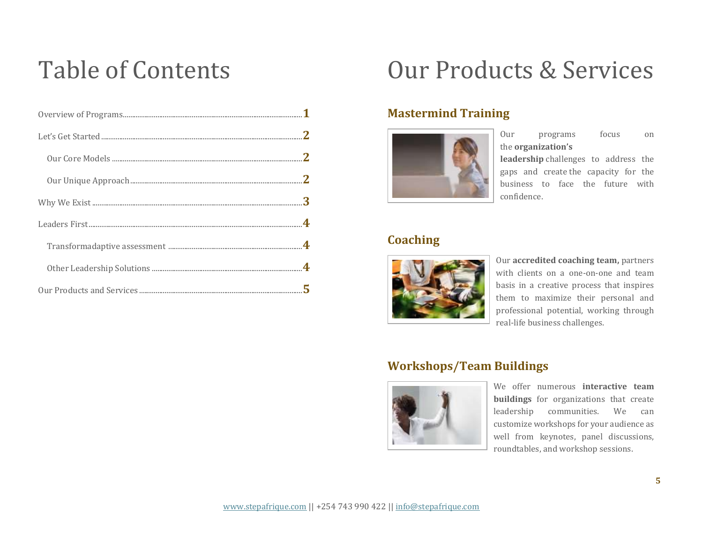### Table of Contents

### Our Products & Services

#### **Mastermind Training**



Our programs focus on the **organization's**

**leadership** challenges to address the gaps and create the capacity for the business to face the future with confidence.

#### **Coaching**



Our **accredited coaching team,** partners with clients on a one-on-one and team basis in a creative process that inspires them to maximize their personal and professional potential, working through real-life business challenges.

#### **Workshops/Team Buildings**



We offer numerous **interactive team buildings** for organizations that create leadership communities. We can customize workshops for your audience as well from keynotes, panel discussions, roundtables, and workshop sessions.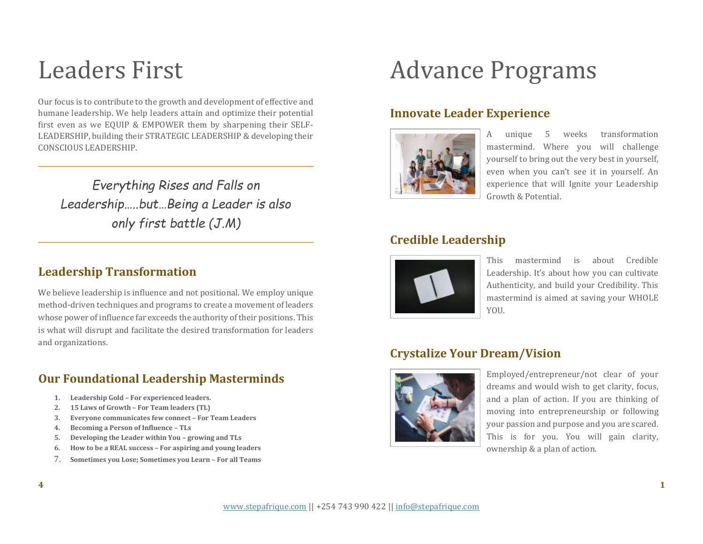### Leaders First

Our focus is to contribute to the growth and development of effective and humane leadership. We help leaders attain and optimize their potential first even as we EQUIP & EMPOWER them by sharpening their SELF-LEADERSHIP, building their STRATEGIC LEADERSHIP & developing their CONSCIOUS LEADERSHIP.

*Everything Rises and Falls on Leadership…..but…Being a Leader is also only first battle (J.M)*

#### **Leadership Transformation**

We believe leadership is influence and not positional. We employ unique method-driven techniques and programs to create a movement of leaders whose power of influence far exceeds the authority of their positions. This is what will disrupt and facilitate the desired transformation for leaders and organizations.

#### **Our Foundational Leadership Masterminds**

- **1. Leadership Gold – For experienced leaders.**
- **2. 15 Laws of Growth – For Team leaders (TL)**
- **3. Everyone communicates few connect – For Team Leaders**
- **4. Becoming a Person of Influence – TLs**
- **5. Developing the Leader within You – growing and TLs**
- **6. How to be a REAL success – For aspiring and young leaders**
- 7. **Sometimes you Lose; Sometimes you Learn – For all Teams**

# Advance Programs

#### **Innovate Leader Experience**



A unique 5 weeks transformation mastermind. Where you will challenge yourself to bring out the very best in yourself, even when you can't see it in yourself. An experience that will Ignite your Leadership Growth & Potential.

#### **Credible Leadership**



This mastermind is about Credible Leadership. It's about how you can cultivate Authenticity, and build your Credibility. This mastermind is aimed at saving your WHOLE YOU

#### **Crystalize Your Dream/Vision**



Employed/entrepreneur/not clear of your dreams and would wish to get clarity, focus, and a plan of action. If you are thinking of moving into entrepreneurship or following your passion and purpose and you are scared. This is for you. You will gain clarity, ownership & a plan of action.